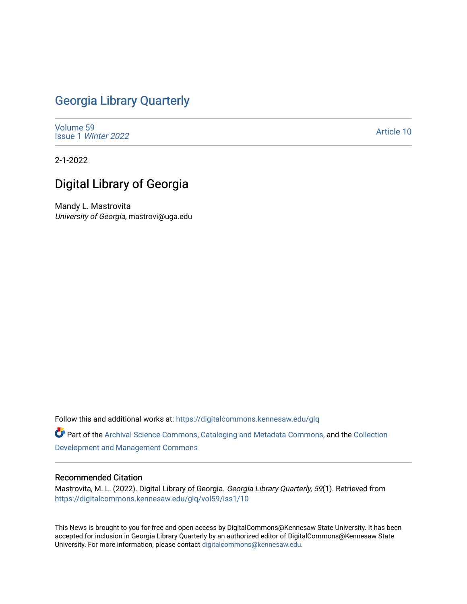## [Georgia Library Quarterly](https://digitalcommons.kennesaw.edu/glq)

[Volume 59](https://digitalcommons.kennesaw.edu/glq/vol59) Issue 1 [Winter 2022](https://digitalcommons.kennesaw.edu/glq/vol59/iss1) 

[Article 10](https://digitalcommons.kennesaw.edu/glq/vol59/iss1/10) 

2-1-2022

# Digital Library of Georgia

Mandy L. Mastrovita University of Georgia, mastrovi@uga.edu

Follow this and additional works at: [https://digitalcommons.kennesaw.edu/glq](https://digitalcommons.kennesaw.edu/glq?utm_source=digitalcommons.kennesaw.edu%2Fglq%2Fvol59%2Fiss1%2F10&utm_medium=PDF&utm_campaign=PDFCoverPages) 

Part of the [Archival Science Commons,](http://network.bepress.com/hgg/discipline/1021?utm_source=digitalcommons.kennesaw.edu%2Fglq%2Fvol59%2Fiss1%2F10&utm_medium=PDF&utm_campaign=PDFCoverPages) [Cataloging and Metadata Commons,](http://network.bepress.com/hgg/discipline/1270?utm_source=digitalcommons.kennesaw.edu%2Fglq%2Fvol59%2Fiss1%2F10&utm_medium=PDF&utm_campaign=PDFCoverPages) and the [Collection](http://network.bepress.com/hgg/discipline/1271?utm_source=digitalcommons.kennesaw.edu%2Fglq%2Fvol59%2Fiss1%2F10&utm_medium=PDF&utm_campaign=PDFCoverPages) [Development and Management Commons](http://network.bepress.com/hgg/discipline/1271?utm_source=digitalcommons.kennesaw.edu%2Fglq%2Fvol59%2Fiss1%2F10&utm_medium=PDF&utm_campaign=PDFCoverPages)

#### Recommended Citation

Mastrovita, M. L. (2022). Digital Library of Georgia. Georgia Library Quarterly, 59(1). Retrieved from [https://digitalcommons.kennesaw.edu/glq/vol59/iss1/10](https://digitalcommons.kennesaw.edu/glq/vol59/iss1/10?utm_source=digitalcommons.kennesaw.edu%2Fglq%2Fvol59%2Fiss1%2F10&utm_medium=PDF&utm_campaign=PDFCoverPages)

This News is brought to you for free and open access by DigitalCommons@Kennesaw State University. It has been accepted for inclusion in Georgia Library Quarterly by an authorized editor of DigitalCommons@Kennesaw State University. For more information, please contact [digitalcommons@kennesaw.edu.](mailto:digitalcommons@kennesaw.edu)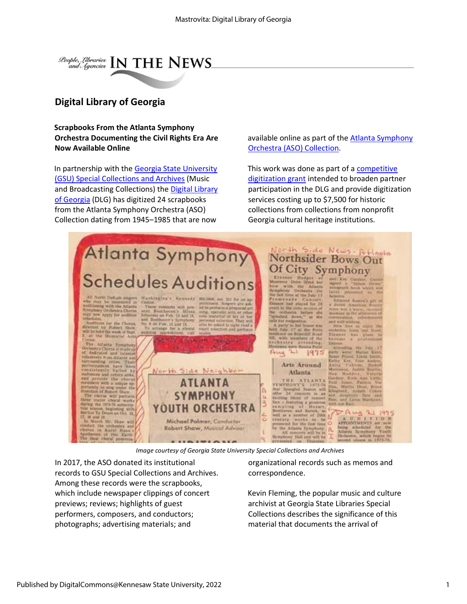

### **Digital Library of Georgia**

**Scrapbooks From the Atlanta Symphony Orchestra Documenting the Civil Rights Era Are Now Available Online** 

In partnership with the [Georgia State University](https://library.gsu.edu/special-collections/collections/) (GSU) [Special Collections and Archives](https://library.gsu.edu/special-collections/collections/) (Music and Broadcasting Collections) the [Digital Library](https://dlg.usg.edu/)  [of Georgia](https://dlg.usg.edu/) (DLG) has digitized 24 scrapbooks from the Atlanta Symphony Orchestra (ASO) Collection dating from 1945–1985 that are now

available online as part of the **Atlanta Symphony** Orchestra (ASO) [Collection.](https://digitalcollections.library.gsu.edu/digital/collection/aso)  

This work was done as part of a [competitive](https://sites.google.com/view/dlg-docs/resources/programs-and-projects/subgranting-program)  [digitization grant](https://sites.google.com/view/dlg-docs/resources/programs-and-projects/subgranting-program) [i](https://sites.google.com/view/dlg-docs/resources/programs-and-projects/subgranting-program)ntended to broaden partner participation in the DLG and provide digitization services costing up to \$7,500 for historic collections from collections from nonprofit Georgia cultural heritage institutions.



*Image courtesy of Georgia State University Special Collections and Archives*

In 2017, the ASO donated its institutional records to GSU Special Collections and Archives. Among these records were the scrapbooks, which include newspaper clippings of concert previews; reviews; highlights of guest performers, composers, and conductors; photographs; advertising materials; and

organizational records such as memos and correspondence.

Kevin Fleming, the popular music and culture archivist at Georgia State Libraries Special Collections describes the significance of this material that documents the arrival of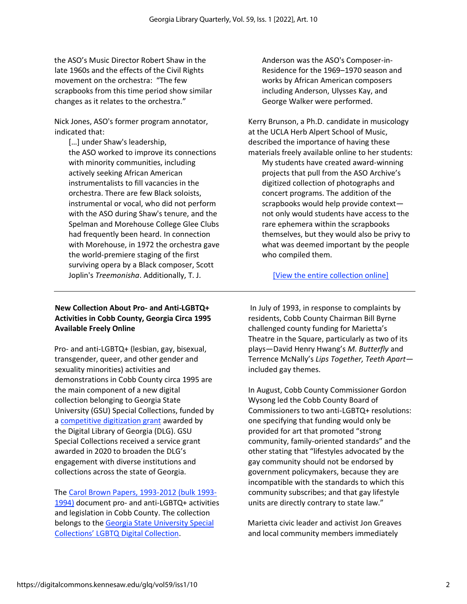the ASO's Music Director Robert Shaw in the late 1960s and the effects of the Civil Rights movement on the orchestra: "The few scrapbooks from this time period show similar changes as it relates to the orchestra."

Nick Jones, ASO's former program annotator, indicated that:

[...] under Shaw's leadership, the ASO worked to improve its connections with minority communities, including actively seeking African American instrumentalists to fill vacancies in the orchestra. There are few Black soloists, instrumental or vocal, who did not perform with the ASO during Shaw's tenure, and the Spelman and Morehouse College Glee Clubs had frequently been heard. In connection with Morehouse, in 1972 the orchestra gave the world-premiere staging of the first surviving opera by a Black composer, Scott Joplin's *Treemonisha*. Additionally, T. J.

#### **New Collection About Pro- and Anti-LGBTQ+ Activities in Cobb County, Georgia Circa 1995 Available Freely Online**

Pro- and anti-LGBTQ+ (lesbian, gay, bisexual, transgender, queer, and other gender and sexuality minorities) activities and demonstrations in Cobb County circa 1995 are the main component of a new digital collection belonging to Georgia State University (GSU) Special Collections, funded by a [competitive digitization grant](https://sites.google.com/view/dlg-docs/resources/programs-and-projects/subgranting-program) [a](https://sites.google.com/view/dlg-docs/resources/programs-and-projects/subgranting-program)warded by the Digital Library of Georgia (DLG). GSU Special Collections received a service grant awarded in 2020 to broaden the DLG's engagement with diverse institutions and collections across the state of Georgia.  

The [Carol](https://digitalcollections.library.gsu.edu/digital/collection/lgbtq/search/searchterm/Carol%20Brown) [Brown](https://digitalcollections.library.gsu.edu/digital/collection/lgbtq/search/searchterm/Carol%20Brown) [Papers, 1993-2012 \(bulk 1993-](https://digitalcollections.library.gsu.edu/digital/collection/lgbtq/search/searchterm/Carol%20Brown) [1994\)](https://digitalcollections.library.gsu.edu/digital/collection/lgbtq/search/searchterm/Carol%20Brown) document pro- and anti-LGBTQ+ activities and legislation in Cobb County. The collection belongs to the [Georgia State University Special](https://digitalcollections.library.gsu.edu/digital/collection/lgbtq)  [Collections' LGBTQ Digital Collection](https://digitalcollections.library.gsu.edu/digital/collection/lgbtq)[.](https://digitalcollections.library.gsu.edu/digital/collection/lgbtq)   

Anderson was the ASO's Composer-in-Residence for the 1969–1970 season and works by African American composers including Anderson, Ulysses Kay, and George Walker were performed. 

Kerry Brunson, a Ph.D. candidate in musicology at the UCLA Herb Alpert School of Music, described the importance of having these materials freely available online to her students: My students have created award-winning projects that pull from the ASO Archive's digitized collection of photographs and concert programs. The addition of the scrapbooks would help provide context not only would students have access to the rare ephemera within the scrapbooks themselves, but they would also be privy to what was deemed important by the people who compiled them.

[\[View the entire collection online\]](http://digitalcollections.library.gsu.edu/cdm/landingpage/collection/aso)

In July of 1993, in response to complaints by residents, Cobb County Chairman Bill Byrne challenged county funding for Marietta's Theatre in the Square, particularly as two of its plays—David Henry Hwang's *M. Butterfly* and Terrence McNally's *Lips Together, Teeth Apart* included gay themes.  

In August, Cobb County Commissioner Gordon Wysong led the Cobb County Board of Commissioners to two anti-LGBTQ+ resolutions: one specifying that funding would only be provided for art that promoted "strong community, family-oriented standards" and the other stating that "lifestyles advocated by the gay community should not be endorsed by government policymakers, because they are incompatible with the standards to which this community subscribes; and that gay lifestyle units are directly contrary to state law."  

Marietta civic leader and activist Jon Greaves and local community members immediately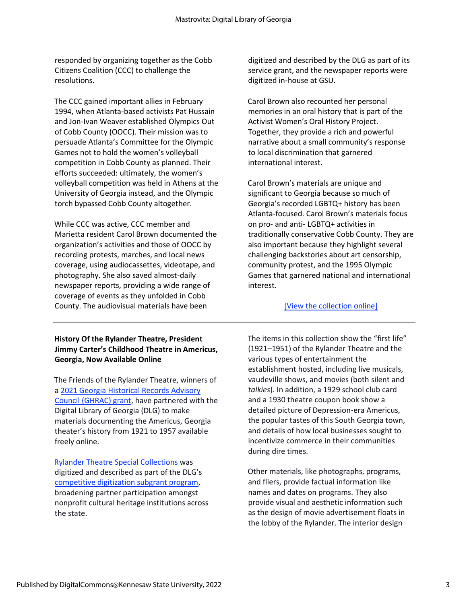responded by organizing together as the Cobb Citizens Coalition (CCC) to challenge the resolutions. 

The CCC gained important allies in February 1994, when Atlanta-based activists Pat Hussain and Jon-Ivan Weaver established Olympics Out of Cobb County (OOCC). Their mission was to persuade Atlanta's Committee for the Olympic Games not to hold the women's volleyball competition in Cobb County as planned. Their efforts succeeded: ultimately, the women's volleyball competition was held in Athens at the University of Georgia instead, and the Olympic torch bypassed Cobb County altogether.  

While CCC was active, CCC member and Marietta resident Carol Brown documented the organization's activities and those of OOCC by recording protests, marches, and local news coverage, using audiocassettes, videotape, and photography. She also saved almost-daily newspaper reports, providing a wide range of coverage of events as they unfolded in Cobb County. The audiovisual materials have been

#### **History Of the Rylander Theatre, President Jimmy Carter's Childhood Theatre in Americus, Georgia, Now Available Online**

The Friends of the Rylander Theatre, winners of [a 2021 Georgia Historical Records Advisory](https://www.georgiaarchives.org/ghrac) [Council \(GHRAC\) grant,](https://www.georgiaarchives.org/ghrac) have partnered with the Digital Library of Georgia (DLG) to make materials documenting the Americus, Georgia theater's history from 1921 to 1957 available freely online.

[Rylander Theatre Special Collections](https://dlg.usg.edu/collection/ryl_rtsc) was digitized and described as part of the DLG's [competitive digitization subgrant program,](https://sites.google.com/view/dlg-docs/resources/programs-and-projects/subgranting-program) broadening partner participation amongst nonprofit cultural heritage institutions across the state.

digitized and described by the DLG as part of its service grant, and the newspaper reports were digitized in-house at GSU.  

Carol Brown also recounted her personal memories in an oral history that is part of the Activist Women's Oral History Project. Together, they provide a rich and powerful narrative about a small community's response to local discrimination that garnered international interest.  

Carol Brown's materials are unique and significant to Georgia because so much of Georgia's recorded LGBTQ+ history has been Atlanta-focused. Carol Brown's materials focus on pro- and anti- LGBTQ+ activities in traditionally conservative Cobb County. They are also important because they highlight several challenging backstories about art censorship, community protest, and the 1995 Olympic Games that garnered national and international interest.  

#### [\[View the collection online\]](https://digitalcollections.library.gsu.edu/digital/collection/lgbtq/search/searchterm/Carol%20Brown)

The items in this collection show the "first life" (1921–1951) of the Rylander Theatre and the various types of entertainment the establishment hosted, including live musicals, vaudeville shows, and movies (both silent and *talkies*). In addition, a 1929 school club card and a 1930 theatre coupon book show a detailed picture of Depression-era Americus, the popular tastes of this South Georgia town, and details of how local businesses sought to incentivize commerce in their communities during dire times.

Other materials, like photographs, programs, and fliers, provide factual information like names and dates on programs. They also provide visual and aesthetic information such as the design of movie advertisement floats in the lobby of the Rylander. The interior design